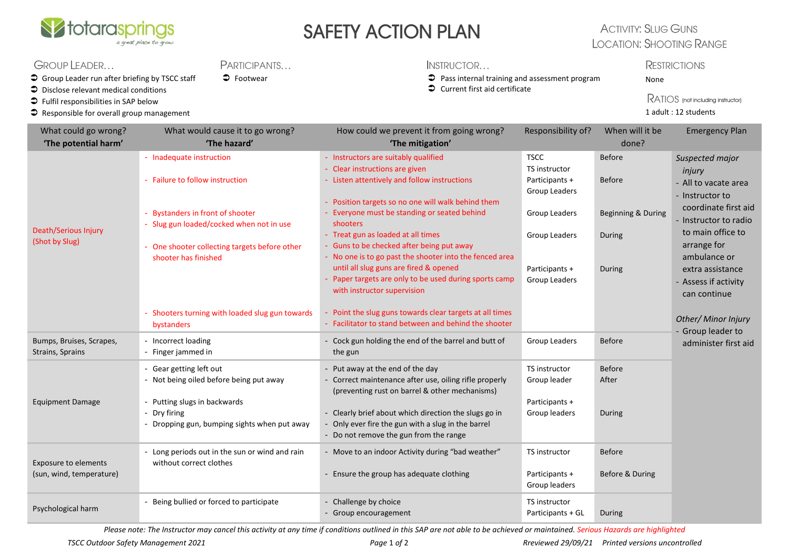

# SAFETY ACTION PLAN

**PARTICIPANTS** 

### **ACTIVITY: SLUG GUNS LOCATION: SHOOTING RANGE**

### GROUP LEADER...

 $\supset$  Group Leader run after briefing by TSCC staff

- $\supset$  Disclose relevant medical conditions
- $\bullet$  Fulfil responsibilities in SAP below
- $\bullet$  Responsible for overall group management

#### INSTRUCTOR...

- Footwear **COLLECT EXECTS** Pass internal training and assessment program
	- $\supset$  Current first aid certificate

#### **RESTRICTIONS** None

RATIOS (not including instructor) 1 adult : 12 students

| What could go wrong?<br>'The potential harm'     | What would cause it to go wrong?<br>'The hazard'                                                                                                                 | How could we prevent it from going wrong?<br>'The mitigation'                                                                                                                                                                                               | Responsibility of?                                               | When will it be<br>done?         | <b>Emergency Plan</b>                                                                                                                                                                                                                 |
|--------------------------------------------------|------------------------------------------------------------------------------------------------------------------------------------------------------------------|-------------------------------------------------------------------------------------------------------------------------------------------------------------------------------------------------------------------------------------------------------------|------------------------------------------------------------------|----------------------------------|---------------------------------------------------------------------------------------------------------------------------------------------------------------------------------------------------------------------------------------|
| Death/Serious Injury<br>(Shot by Slug)           | - Inadequate instruction<br>- Failure to follow instruction                                                                                                      | - Instructors are suitably qualified<br>- Clear instructions are given<br>- Listen attentively and follow instructions                                                                                                                                      | <b>TSCC</b><br>TS instructor<br>Participants +                   | <b>Before</b><br><b>Before</b>   | Suspected major<br>injury<br>- All to vacate area<br>- Instructor to<br>coordinate first aid<br>- Instructor to radio<br>to main office to<br>arrange for<br>ambulance or<br>extra assistance<br>- Assess if activity<br>can continue |
|                                                  | <b>Bystanders in front of shooter</b><br>- Slug gun loaded/cocked when not in use<br>One shooter collecting targets before other                                 | - Position targets so no one will walk behind them<br>Everyone must be standing or seated behind<br>shooters<br>- Treat gun as loaded at all times<br>- Guns to be checked after being put away                                                             | Group Leaders<br>Group Leaders<br>Group Leaders                  | Beginning & During<br>During     |                                                                                                                                                                                                                                       |
|                                                  | shooter has finished                                                                                                                                             | - No one is to go past the shooter into the fenced area<br>until all slug guns are fired & opened<br>- Paper targets are only to be used during sports camp<br>with instructor supervision                                                                  | Participants +<br>Group Leaders                                  | During                           |                                                                                                                                                                                                                                       |
|                                                  | - Shooters turning with loaded slug gun towards<br>bystanders                                                                                                    | Point the slug guns towards clear targets at all times<br>- Facilitator to stand between and behind the shooter                                                                                                                                             |                                                                  |                                  | Other/ Minor Injury<br>- Group leader to                                                                                                                                                                                              |
| Bumps, Bruises, Scrapes,<br>Strains, Sprains     | - Incorrect loading<br>- Finger jammed in                                                                                                                        | Cock gun holding the end of the barrel and butt of<br>the gun                                                                                                                                                                                               | Group Leaders                                                    | <b>Before</b>                    | administer first aid                                                                                                                                                                                                                  |
| <b>Equipment Damage</b>                          | - Gear getting left out<br>- Not being oiled before being put away<br>Putting slugs in backwards<br>- Dry firing<br>- Dropping gun, bumping sights when put away | - Put away at the end of the day<br>- Correct maintenance after use, oiling rifle properly<br>(preventing rust on barrel & other mechanisms)<br>- Clearly brief about which direction the slugs go in<br>- Only ever fire the gun with a slug in the barrel | TS instructor<br>Group leader<br>Participants +<br>Group leaders | <b>Before</b><br>After<br>During |                                                                                                                                                                                                                                       |
| Exposure to elements<br>(sun, wind, temperature) | Long periods out in the sun or wind and rain<br>without correct clothes                                                                                          | - Do not remove the gun from the range<br>- Move to an indoor Activity during "bad weather"<br>- Ensure the group has adequate clothing                                                                                                                     | TS instructor<br>Participants +                                  | <b>Before</b><br>Before & During |                                                                                                                                                                                                                                       |
| Psychological harm                               | Being bullied or forced to participate                                                                                                                           | - Challenge by choice<br>- Group encouragement                                                                                                                                                                                                              | Group leaders<br><b>TS</b> instructor<br>Participants + GL       | <b>During</b>                    |                                                                                                                                                                                                                                       |

*Please note: The Instructor may cancel this activity at any time if conditions outlined in this SAP are not able to be achieved or maintained. Serious Hazards are highlighted*